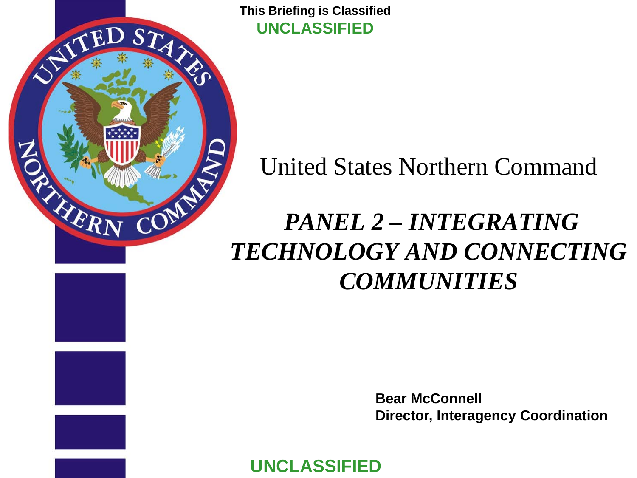**This Briefing is Classified UNCLASSIFIED**

D STAN

<span id="page-0-0"></span>' FT

AERI

# United States Northern Command

# *PANEL 2 – INTEGRATING TECHNOLOGY AND CONNECTING COMMUNITIES*

**Bear McConnell Director, Interagency Coordination**

**UNCLASSIFIED**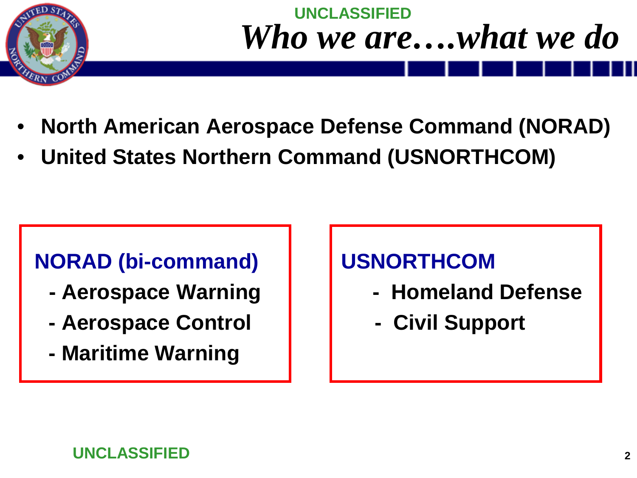

# **UNCLASSIFIED** *Who we are….what we do*

- **North American Aerospace Defense Command (NORAD)**
- **United States Northern Command (USNORTHCOM)**

## **NORAD (bi-command) USNORTHCOM**

- 
- **- Aerospace Control - Civil Support**
- **- Maritime Warning**

- **- Aerospace Warning | | | Homeland Defense** 
	-

### **UNCLASSIFIED**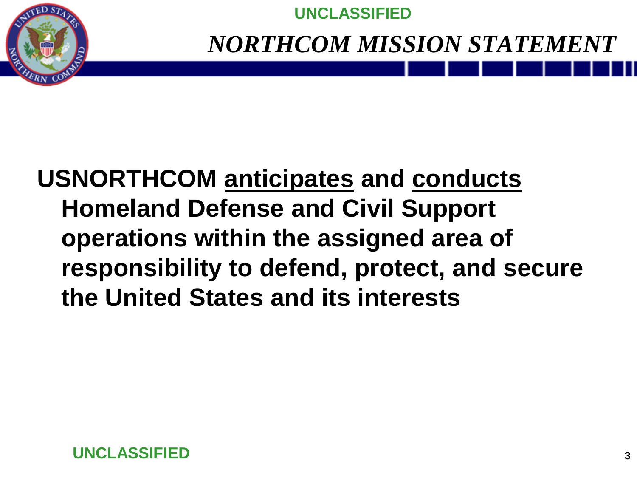

**UNCLASSIFIED**

*NORTHCOM MISSION STATEMENT*

# **USNORTHCOM anticipates and conducts Homeland Defense and Civil Support operations within the assigned area of responsibility to defend, protect, and secure the United States and its interests**

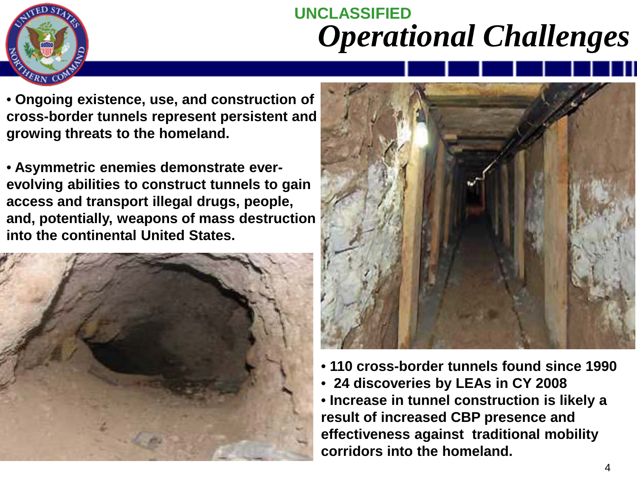

# **UNCLASSIFIED** *Operational Challenges*

• **Ongoing existence, use, and construction of cross-border tunnels represent persistent and growing threats to the homeland.** 

• **Asymmetric enemies demonstrate everevolving abilities to construct tunnels to gain access and transport illegal drugs, people, and, potentially, weapons of mass destruction into the continental United States.**





- **110 cross-border tunnels found since 1990**
- **24 discoveries by LEAs in CY 2008**

• **Increase in tunnel construction is likely a result of increased CBP presence and effectiveness against traditional mobility corridors into the homeland.**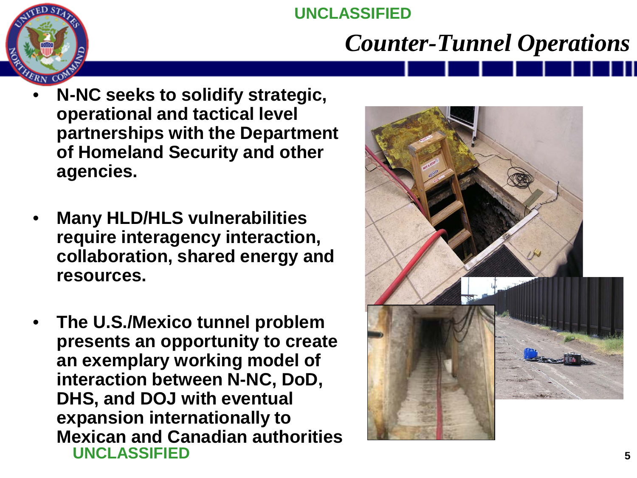### **UNCLASSIFIED**

# *Counter-Tunnel Operations*

- **N-NC seeks to solidify strategic, operational and tactical level partnerships with the Department of Homeland Security and other agencies.**
- **Many HLD/HLS vulnerabilities require interagency interaction, collaboration, shared energy and resources.**
- **UNCLASSIFIED** • **The U.S./Mexico tunnel problem presents an opportunity to create an exemplary working model of interaction between N-NC, DoD, DHS, and DOJ with eventual expansion internationally to Mexican and Canadian authorities**

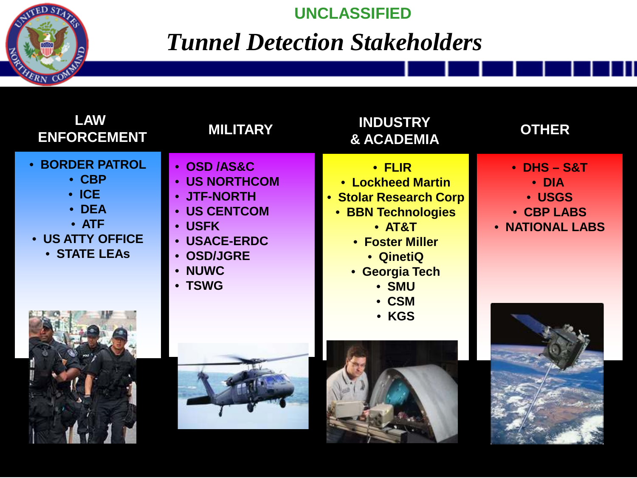

#### **UNCLASSIFIED**

# *Tunnel Detection Stakeholders*

| <b>LAW</b><br><b>ENFORCEMENT</b>                                                                                          | <b>MILITARY</b>                                                                                                                                                            | <b>INDUSTRY</b><br><b>&amp; ACADEMIA</b>                                                                                                                                   | <b>OTHER</b>                                                                    |
|---------------------------------------------------------------------------------------------------------------------------|----------------------------------------------------------------------------------------------------------------------------------------------------------------------------|----------------------------------------------------------------------------------------------------------------------------------------------------------------------------|---------------------------------------------------------------------------------|
| <b>• BORDER PATROL</b><br>$\cdot$ CBP<br>$\cdot$ ICE<br>• DEA<br>$\bullet$ ATF<br>• US ATTY OFFICE<br><b>• STATE LEAS</b> | • OSD /AS&C<br>• US NORTHCOM<br>• JTF-NORTH<br><b>US CENTCOM</b><br><b>USFK</b><br>$\bullet$<br><b>USACE-ERDC</b><br><b>OSD/JGRE</b><br><b>NUWC</b><br>$\bullet$<br>• TSWG | $\cdot$ FLIR<br>• Lockheed Martin<br>• Stolar Research Corp<br><b>BBN Technologies</b><br>$\bullet$<br>$•$ AT&T<br>• Foster Miller<br>• QinetiQ<br>• Georgia Tech<br>• SMU | $\bullet$ DHS $-$ S&T<br>$\cdot$ DIA<br>· USGS<br>• CBP LABS<br>• NATIONAL LABS |
|                                                                                                                           |                                                                                                                                                                            | • CSM<br>· KGS                                                                                                                                                             |                                                                                 |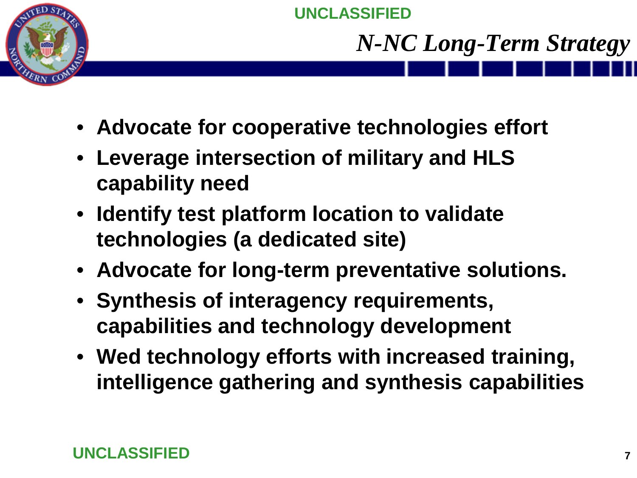

# *N-NC Long-Term Strategy*

- **Advocate for cooperative technologies effort**
- **Leverage intersection of military and HLS capability need**
- **Identify test platform location to validate technologies (a dedicated site)**
- **Advocate for long-term preventative solutions.**
- **Synthesis of interagency requirements, capabilities and technology development**
- **Wed technology efforts with increased training, intelligence gathering and synthesis capabilities**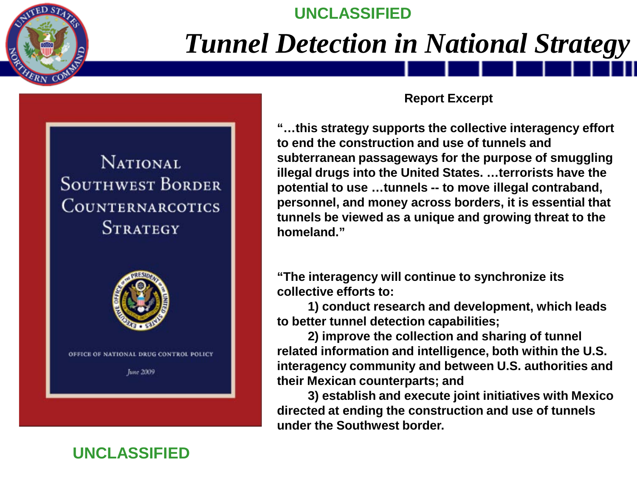

# *Tunnel Detection in National Strategy*

**UNCLASSIFIED**

**NATIONAL SOUTHWEST BORDER COUNTERNARCOTICS STRATEGY** 



#### **Report Excerpt**

**"…this strategy supports the collective interagency effort to end the construction and use of tunnels and subterranean passageways for the purpose of smuggling illegal drugs into the United States. …terrorists have the potential to use …tunnels -- to move illegal contraband, personnel, and money across borders, it is essential that tunnels be viewed as a unique and growing threat to the homeland."** 

**"The interagency will continue to synchronize its collective efforts to:**

**1) conduct research and development, which leads to better tunnel detection capabilities;** 

**2) improve the collection and sharing of tunnel related information and intelligence, both within the U.S. interagency community and between U.S. authorities and their Mexican counterparts; and** 

**3) establish and execute joint initiatives with Mexico directed at ending the construction and use of tunnels under the Southwest border.** 

#### **UNCLASSIFIED**